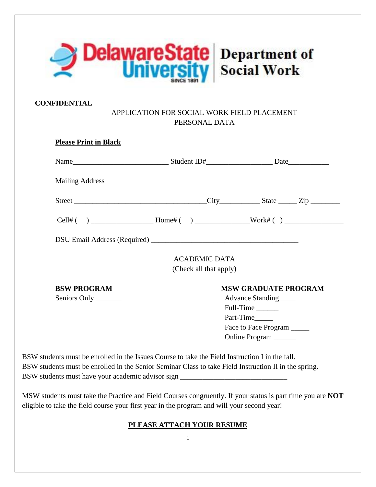

## **CONFIDENTIAL**

## APPLICATION FOR SOCIAL WORK FIELD PLACEMENT PERSONAL DATA

| <b>Mailing Address</b> |                        |                                                     |
|------------------------|------------------------|-----------------------------------------------------|
|                        |                        |                                                     |
|                        |                        |                                                     |
|                        |                        |                                                     |
|                        | <b>ACADEMIC DATA</b>   |                                                     |
|                        | (Check all that apply) |                                                     |
| <b>BSW PROGRAM</b>     |                        | <b>MSW GRADUATE PROGRAM</b>                         |
|                        |                        |                                                     |
| Seniors Only ________  |                        | Advance Standing                                    |
|                        |                        | Full-Time                                           |
|                        |                        | Part-Time                                           |
|                        |                        | Face to Face Program ____<br>Online Program _______ |

MSW students must take the Practice and Field Courses congruently. If your status is part time you are **NOT** eligible to take the field course your first year in the program and will your second year!

## **PLEASE ATTACH YOUR RESUME**